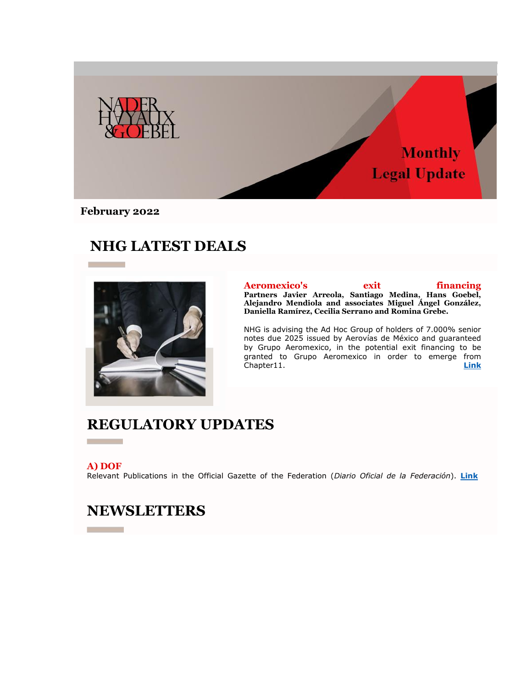

### **February 2022**

## **NHG LATEST DEALS**



**Aeromexico's exit financing Partners Javier Arreola, Santiago Medina, Hans Goebel, Alejandro Mendiola and associates Miguel Ángel González, Daniella Ramírez, Cecilia Serrano and Romina Grebe.** 

NHG is advising the Ad Hoc Group of holders of 7.000% senior notes due 2025 issued by Aerovías de México and guaranteed by Grupo Aeromexico, in the potential exit financing to be granted to Grupo Aeromexico in order to emerge from Chapter11. **[Link](https://nhg335.lt.acemlnb.com/Prod/link-tracker?notrack=1&redirectUrl=aHR0cHMlM0ElMkYlMkZ3d3cubmhnLm14JTJGZW5fZ2IlMkZjYXNlJTJGbmhnLWlzLXBhcnRpY2lwYXRpbmctaW4tYWVyb21leGljb3MtZXhpdC1maW5hbmNpbmctdHJhbnNhY3Rpb24lMkY=&sig=3ySYUFCc5d8dbUpEEbh6VkVsVzRsVxjyX1vvJsBPNF4B&iat=1654802770&a=%7C%7C25487300%7C%7C&account=nhg335%2Eactivehosted%2Ecom&email=sf%2FV9l4ieKNMOZdeVagRzQ%3D%3D&s=ccd1870a579f2011876aca44733daec7&i=163A236A6A1674)**

# **REGULATORY UPDATES**

### **A) DOF**

m.

Relevant Publications in the Official Gazette of the Federation (*Diario Oficial de la Federación*). **[Link](https://nhg335.lt.acemlnb.com/Prod/link-tracker?notrack=1&redirectUrl=aHR0cHMlM0ElMkYlMkZ3d3cubmhnLm14JTJGd3AtY29udGVudCUyRnVwbG9hZHMlMkYyMDIyJTJGMDIlMkZOSEctOTE0NDItdjQtQWN0dWFsaXphY2lvbl9Ob3JtYXRpdmFfLV9FbmVyb18yMDIyLnBkZg==&sig=AEEN1UnhtYBHzLUT6U9m4YRsKWwEeFTY3AvbJE4KKXoA&iat=1654802770&a=%7C%7C25487300%7C%7C&account=nhg335%2Eactivehosted%2Ecom&email=sf%2FV9l4ieKNMOZdeVagRzQ%3D%3D&s=ccd1870a579f2011876aca44733daec7&i=163A236A6A1668)**

## **NEWSLETTERS**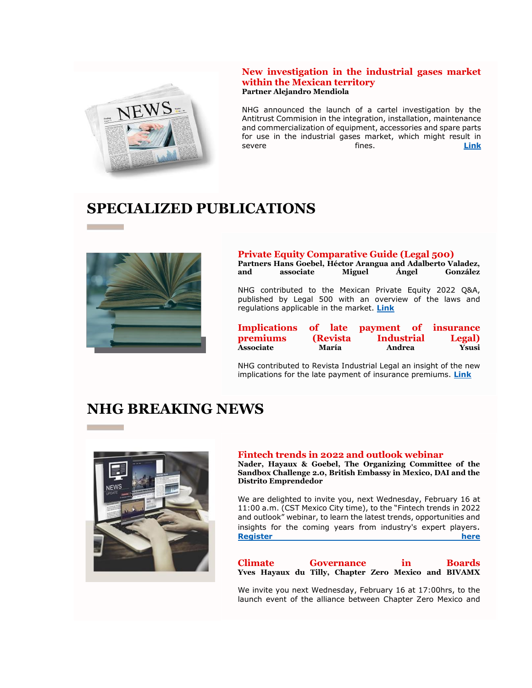

**New investigation in the industrial gases market within the Mexican territory Partner Alejandro Mendiola**

NHG announced the launch of a cartel investigation by the Antitrust Commision in the integration, installation, maintenance and commercialization of equipment, accessories and spare parts for use in the industrial gases market, which might result in severe fines. **[Link](https://nhg335.lt.acemlnb.com/Prod/link-tracker?notrack=1&redirectUrl=aHR0cHMlM0ElMkYlMkZ3d3cubmhnLm14JTJGZW5fZ2IlMkZuZXctaW52ZXN0aWdhdGlvbi1pbi10aGUtaW5kdXN0cmlhbC1nYXNlcy1tYXJrZXQtd2l0aGluLXRoZS1tZXhpY2FuLXRlcnJpdG9yeSUyRg==&sig=AGFAK9uW4PRZEfPoeqSrmj1nr3Uer5A2tQdBuByV3BZh&iat=1654802770&a=%7C%7C25487300%7C%7C&account=nhg335%2Eactivehosted%2Ecom&email=sf%2FV9l4ieKNMOZdeVagRzQ%3D%3D&s=ccd1870a579f2011876aca44733daec7&i=163A236A6A1670)**

# **SPECIALIZED PUBLICATIONS**



**Private Equity Comparative Guide (Legal 500) Partners Hans Goebel, Héctor Arangua and Adalberto Valadez, and associate Miguel Ángel González**  NHG contributed to the Mexican Private Equity 2022 Q&A, published by Legal 500 with an overview of the laws and regulations applicable in the market. **[Link](https://nhg335.lt.acemlnb.com/Prod/link-tracker?notrack=1&redirectUrl=aHR0cHMlM0ElMkYlMkZ3d3cubGVnYWw1MDAuY29tJTJGZ3VpZGVzJTJGY2hhcHRlciUyRm1leGljby1wcml2YXRlLWVxdWl0eSUyRg==&sig=92toKyDHtxzWP3E3oEykEPJX8J6b9g9rDyAUV9uSj1av&iat=1654802770&a=%7C%7C25487300%7C%7C&account=nhg335%2Eactivehosted%2Ecom&email=sf%2FV9l4ieKNMOZdeVagRzQ%3D%3D&s=ccd1870a579f2011876aca44733daec7&i=163A236A6A1671)**

| Implications of late payment of insurance |          |  |                   |  |              |
|-------------------------------------------|----------|--|-------------------|--|--------------|
| premiums                                  | (Revista |  | <b>Industrial</b> |  | Legal)       |
| Associate                                 | María    |  | Andrea            |  | <b>Ysusi</b> |

NHG contributed to Revista Industrial Legal an insight of the new implications for the late payment of insurance premiums. **[Link](https://nhg335.lt.acemlnb.com/Prod/link-tracker?notrack=1&redirectUrl=aHR0cHMlM0ElMkYlMkZ3d3cuZmxpcHNuYWNrLmNvbSUyRmNlamNoaWxlJTJGaW5kdXN0cmlhLWxlZ2FsLW14LXZvbC00LWVuZS0yMDIyLWM1MnphODMxY2klMkZmdWxsLXZpZXcuaHRtbA==&sig=8iDzBN2kZuH8F7AehQ6zFvcr8sPpBP7LNkX5NacV7fTW&iat=1654802770&a=%7C%7C25487300%7C%7C&account=nhg335%2Eactivehosted%2Ecom&email=sf%2FV9l4ieKNMOZdeVagRzQ%3D%3D&s=ccd1870a579f2011876aca44733daec7&i=163A236A6A1672)**

## **NHG BREAKING NEWS**



### **Fintech trends in 2022 and outlook webinar**

**Nader, Hayaux & Goebel, The Organizing Committee of the Sandbox Challenge 2.0, British Embassy in Mexico, DAI and the Distrito Emprendedor**

We are delighted to invite you, next Wednesday, February 16 at 11:00 a.m. (CST Mexico City time), to the "Fintech trends in 2022 and outlook" webinar, to learn the latest trends, opportunities and insights for the coming years from industry's expert players. **[Register here](https://nhg335.lt.acemlnb.com/Prod/link-tracker?notrack=1&redirectUrl=aHR0cHMlM0ElMkYlMkZtYWlsdHJhY2suaW8lMkZ0cmFjZSUyRmxpbmslMkY2YzY0NDBhYWRlMTA4ZDY3NTQ5ZGUxZDY5MTBmNWFhZDE5ZDhkZTE2JTNGdXJsJTNEaHR0cCUyNTNBJTI1MkYlMjUyRkJpdC5seSUyNTJGM2d4T3JPaiUyNnVzZXJJZCUzRDU3OTA0MjIlMjZzaWduYXR1cmUlM0RkOTRjYzkxM2VhNzU0ZmQ5&sig=7fQ16ovtnWCnJfvPPuMhz9JokSNuVaWmP9wDJt49XmTZ&iat=1654802770&a=%7C%7C25487300%7C%7C&account=nhg335%2Eactivehosted%2Ecom&email=sf%2FV9l4ieKNMOZdeVagRzQ%3D%3D&s=ccd1870a579f2011876aca44733daec7&i=163A236A6A1673)** here here here here here here

**Climate Governance in Boards Yves Hayaux du Tilly, Chapter Zero Mexico and BIVAMX**

We invite you next Wednesday, February 16 at 17:00hrs, to the launch event of the alliance between Chapter Zero Mexico and